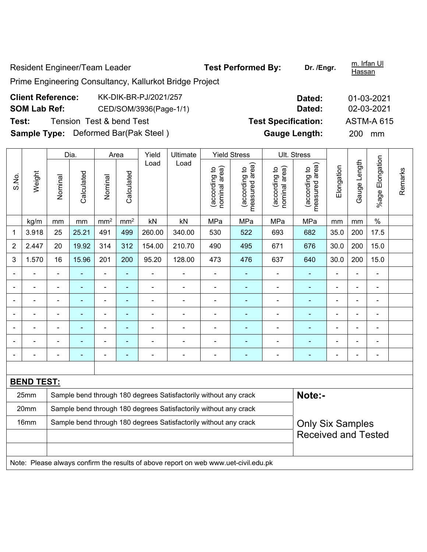Resident Engineer/Team Leader **Test Performed By:** Dr. /Engr. **m. Iffan Ul** and Dr. *Internal* Hassan Prime Engineering Consultancy, Kallurkot Bridge Project **Client Reference:** KK-DIK-BR-PJ/2021/257 **Dated:** 01-03-2021 **SOM Lab Ref:** CED/SOM/3936(Page-1/1) **Dated:** 02-03-2021 **Test:** Tension Test & bend Test **Test Specification:** ASTM-A 615 **Sample Type:** Deformed Bar(Pak Steel) **Gauge Length:** 200 mm Dia. | Area | Yield | Ultimate | Yield Stress | Ult. Stress %age Elongation %age Elongation Gauge Length Gauge Length Load Load measured area) (according to<br>measured area) measured area) (according to<br>measured area) (according to<br>nominal area) (according to<br>nominal area) **Elongation** nominal area) nominal area) (according to (according to (according to (according to Elongation Remarks Remarks **Calculated Calculated** Weight Calculated Calculated S.No. Nominal Nominal Vominal Nominal

| kg/m | mm | mm | mm² | nm² | kN | kN | MPa | MPa | MPa | mm | mm | % 1 | 3.918 | 25 | 25.21 | 491 | 499 | 260.00 | 340.00 | 530 | 522 | 693 | 682 | 35.0 | 200 | 17.5

2 | 2.447 | 20 | 19.92 | 314 | 312 | 154.00 | 210.70 | 490 | 495 | 671 | 676 | 30.0 | 200 | 15.0 3 | 1.570 | 16 | 15.96 | 201 | 200 | 95.20 | 128.00 | 473 | 476 | 637 | 640 | 30.0 | 200 | 15.0 - - - - - - - - - - - - - - - - - - - - - - - - - - - - - - - - - - - - - - - - - - - - - - - - - - - - - - - - - - - - - - - - - - - - - - - - - - - - - - - - - - - - - - - - - - - - - - - - - - - - - - - - - **BEND TEST:**  25mm Sample bend through 180 degrees Satisfactorily without any crack **Note:**-20mm | Sample bend through 180 degrees Satisfactorily without any crack Only Six Samples Received and Tested 16mm Sample bend through 180 degrees Satisfactorily without any crack

Note: Please always confirm the results of above report on web www.uet-civil.edu.pk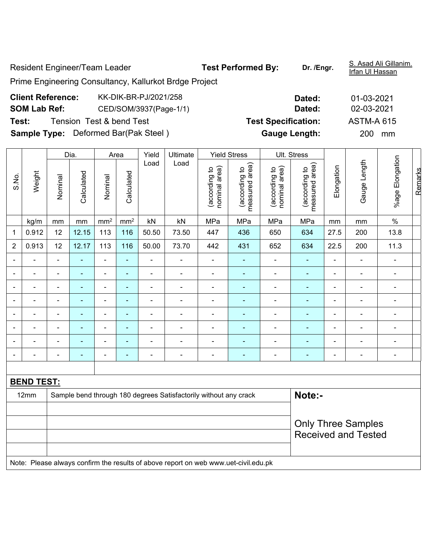Resident Engineer/Team Leader **Test Performed By:** Dr. /Engr. **S. Asad Ali Gillanim. Resident Engineer/Team Leader** Irfan UI Hassan Prime Engineering Consultancy, Kallurkot Brdge Project **Client Reference:** KK-DIK-BR-PJ/2021/258 **Dated:** 01-03-2021 **SOM Lab Ref:** CED/SOM/3937(Page-1/1) **Dated:** 02-03-2021 **Test:** Tension Test & bend Test **Test Specification:** ASTM-A 615 **Sample Type:** Deformed Bar(Pak Steel ) **Gauge Length:** 200 mm Dia. | Area | Yield | Ultimate | Yield Stress | Ult. Stress

|                          |        |                          | Dia.                     |                 | Area            | Yield          | Ultimate                                                         |                                | <b>Yield Stress</b>             |                                | Ult. Stress                     |                |                          |                 |         |
|--------------------------|--------|--------------------------|--------------------------|-----------------|-----------------|----------------|------------------------------------------------------------------|--------------------------------|---------------------------------|--------------------------------|---------------------------------|----------------|--------------------------|-----------------|---------|
| S.No.                    | Weight | Nominal                  | Calculated               | Nominal         | Calculated      | Load           | Load                                                             | nominal area)<br>(according to | measured area)<br>(according to | nominal area)<br>(according to | measured area)<br>(according to | Elongation     | Gauge Length             | %age Elongation | Remarks |
|                          | kg/m   | mm                       | mm                       | mm <sup>2</sup> | mm <sup>2</sup> | kN             | kN                                                               | MPa                            | MPa                             | MPa                            | MPa                             | mm             | mm                       | $\%$            |         |
| $\mathbf{1}$             | 0.912  | 12                       | 12.15                    | 113             | 116             | 50.50          | 73.50                                                            | 447                            | 436                             | 650                            | 634                             | 27.5           | 200                      | 13.8            |         |
| $\overline{2}$           | 0.913  | 12                       | 12.17                    | 113             | 116             | 50.00          | 73.70                                                            | 442                            | 431                             | 652                            | 634                             | 22.5           | 200                      | 11.3            |         |
|                          |        | $\blacksquare$           | $\blacksquare$           | ٠               | ۰               | $\blacksquare$ |                                                                  | $\blacksquare$                 |                                 | $\blacksquare$                 | ÷,                              | $\blacksquare$ | $\overline{\phantom{0}}$ |                 |         |
| $\overline{\phantom{0}}$ |        | $\blacksquare$           | ۰                        | ۰               | ۰               | ۰              | $\blacksquare$                                                   | $\blacksquare$                 |                                 | $\blacksquare$                 |                                 | $\blacksquare$ |                          |                 |         |
|                          |        | $\blacksquare$           | $\overline{\phantom{0}}$ | ۰               | ۰               | -              |                                                                  | -                              |                                 | $\blacksquare$                 | -                               | $\blacksquare$ |                          |                 |         |
|                          |        | $\overline{\phantom{0}}$ | $\blacksquare$           | ۰               | ۰               | $\blacksquare$ | $\blacksquare$                                                   | -                              |                                 | $\blacksquare$                 |                                 | $\blacksquare$ |                          |                 |         |
|                          |        | $\blacksquare$           |                          | ۰               | ۰               |                |                                                                  |                                |                                 | -                              |                                 | $\blacksquare$ |                          |                 |         |
|                          |        | $\overline{\phantom{0}}$ |                          |                 |                 |                |                                                                  |                                |                                 |                                |                                 | $\blacksquare$ |                          |                 |         |
|                          |        | $\blacksquare$           |                          |                 |                 |                |                                                                  |                                |                                 |                                |                                 | $\blacksquare$ |                          |                 |         |
|                          |        | $\blacksquare$           |                          |                 |                 |                |                                                                  |                                |                                 |                                | $\blacksquare$                  | $\blacksquare$ |                          |                 |         |
|                          |        |                          |                          |                 |                 |                |                                                                  |                                |                                 |                                |                                 |                |                          |                 |         |
| <b>BEND TEST:</b>        |        |                          |                          |                 |                 |                |                                                                  |                                |                                 |                                |                                 |                |                          |                 |         |
|                          | 12mm   |                          |                          |                 |                 |                | Sample bend through 180 degrees Satisfactorily without any crack |                                |                                 |                                | Note:-                          |                |                          |                 |         |
|                          |        |                          |                          |                 |                 |                |                                                                  |                                |                                 |                                |                                 |                |                          |                 |         |

|                                                                                     | <b>Only Three Samples</b><br><b>Received and Tested</b> |  |  |  |  |  |  |  |  |
|-------------------------------------------------------------------------------------|---------------------------------------------------------|--|--|--|--|--|--|--|--|
| Note: Please always confirm the results of above report on web www.uet-civil.edu.pk |                                                         |  |  |  |  |  |  |  |  |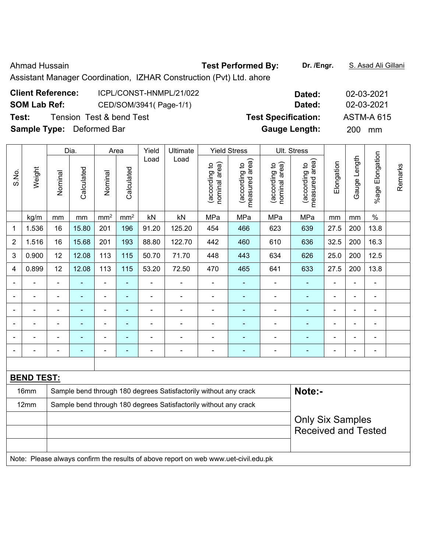## Ahmad Hussain **Test Performed By:** Dr. /Engr. **S. Asad Ali Gillani** Ahmad Hussain

Assistant Manager Coordination, IZHAR Construction (Pvt) Ltd. ahore

## **Client Reference:** ICPL/CONST-HNMPL/21/022 **Dated:** 02-03-2021 **SOM Lab Ref:** CED/SOM/3941( Page-1/1) **Dated:** 02-03-2021 **Test:** Tension Test & bend Test **Test Specification:** ASTM-A 615 **Sample Type:** Deformed Bar **Gauge Length:** 200 mm

|                          |                   |                          | Dia.           |                 | Area            | Yield          | Ultimate                                                                            |                                | <b>Yield Stress</b>             |                                | Ult. Stress                     |                          |                |                 |         |
|--------------------------|-------------------|--------------------------|----------------|-----------------|-----------------|----------------|-------------------------------------------------------------------------------------|--------------------------------|---------------------------------|--------------------------------|---------------------------------|--------------------------|----------------|-----------------|---------|
| S.No.                    | Weight            | Nominal                  | Calculated     | Nominal         | Calculated      | Load           | Load                                                                                | nominal area)<br>(according to | measured area)<br>(according to | nominal area)<br>(according to | measured area)<br>(according to | Elongation               | Gauge Length   | %age Elongation | Remarks |
|                          | kg/m              | mm                       | mm             | mm <sup>2</sup> | mm <sup>2</sup> | kN             | kN                                                                                  | MPa                            | MPa                             | MPa                            | MPa                             | mm                       | mm             | $\%$            |         |
| 1                        | 1.536             | 16                       | 15.80          | 201             | 196             | 91.20          | 125.20                                                                              | 454                            | 466                             | 623                            | 639                             | 27.5                     | 200            | 13.8            |         |
| $\overline{2}$           | 1.516             | 16                       | 15.68          | 201             | 193             | 88.80          | 122.70                                                                              | 442                            | 460                             | 610                            | 636                             | 32.5                     | 200            | 16.3            |         |
| 3                        | 0.900             | 12                       | 12.08          | 113             | 115             | 50.70          | 71.70                                                                               | 448                            | 443                             | 634                            | 626                             | 25.0                     | 200            | 12.5            |         |
| $\overline{4}$           | 0.899             | 12                       | 12.08          | 113             | 115             | 53.20          | 72.50                                                                               | 470                            | 465                             | 641                            | 633                             | 27.5                     | 200            | 13.8            |         |
| $\overline{a}$           | $\blacksquare$    | $\overline{\phantom{a}}$ | $\blacksquare$ | $\blacksquare$  | $\blacksquare$  | ä,             | $\blacksquare$                                                                      | $\overline{\phantom{a}}$       | $\blacksquare$                  | $\overline{\phantom{a}}$       | $\blacksquare$                  | $\overline{\phantom{a}}$ | $\blacksquare$ | $\blacksquare$  |         |
|                          | $\blacksquare$    | $\blacksquare$           | $\blacksquare$ | $\blacksquare$  | $\blacksquare$  | ÷              | ÷,                                                                                  | $\blacksquare$                 | ä,                              | $\blacksquare$                 | $\blacksquare$                  | $\blacksquare$           | $\blacksquare$ | $\blacksquare$  |         |
| ÷                        | $\blacksquare$    | $\blacksquare$           | $\blacksquare$ | $\blacksquare$  | $\blacksquare$  | ÷,             | $\blacksquare$                                                                      |                                | ÷,                              | $\frac{1}{2}$                  | $\blacksquare$                  | ä,                       | ä,             | ÷,              |         |
|                          |                   |                          | $\blacksquare$ | $\blacksquare$  | $\blacksquare$  | $\blacksquare$ | $\blacksquare$                                                                      | $\blacksquare$                 |                                 |                                | $\blacksquare$                  |                          |                | $\blacksquare$  |         |
|                          |                   |                          |                | $\blacksquare$  |                 |                |                                                                                     |                                |                                 |                                |                                 |                          |                |                 |         |
| $\overline{\phantom{0}}$ |                   | $\blacksquare$           | $\blacksquare$ | $\blacksquare$  | ٠               | $\blacksquare$ | Ē,                                                                                  | $\blacksquare$                 | ۰                               | $\blacksquare$                 | $\blacksquare$                  | $\blacksquare$           | $\blacksquare$ | $\blacksquare$  |         |
|                          |                   |                          |                |                 |                 |                |                                                                                     |                                |                                 |                                |                                 |                          |                |                 |         |
|                          | <b>BEND TEST:</b> |                          |                |                 |                 |                |                                                                                     |                                |                                 |                                |                                 |                          |                |                 |         |
|                          | 16mm              |                          |                |                 |                 |                | Sample bend through 180 degrees Satisfactorily without any crack                    |                                |                                 |                                | Note:-                          |                          |                |                 |         |
|                          | 12mm              |                          |                |                 |                 |                | Sample bend through 180 degrees Satisfactorily without any crack                    |                                |                                 |                                |                                 |                          |                |                 |         |
|                          |                   | <b>Only Six Samples</b>  |                |                 |                 |                |                                                                                     |                                |                                 |                                |                                 |                          |                |                 |         |
|                          |                   |                          |                |                 |                 |                |                                                                                     |                                |                                 |                                | <b>Received and Tested</b>      |                          |                |                 |         |
|                          |                   |                          |                |                 |                 |                |                                                                                     |                                |                                 |                                |                                 |                          |                |                 |         |
|                          |                   |                          |                |                 |                 |                | Note: Please always confirm the results of above report on web www.uet-civil.edu.pk |                                |                                 |                                |                                 |                          |                |                 |         |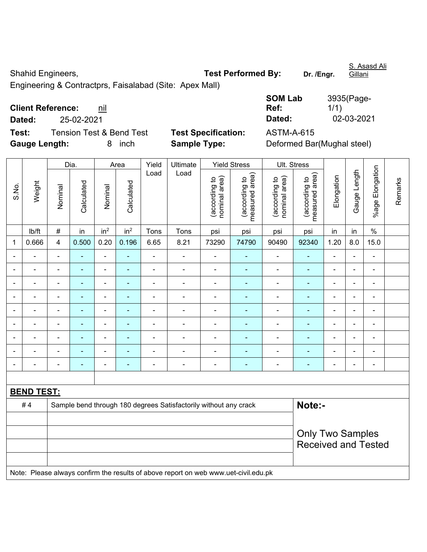Shahid Engineers, **Test Performed By:** Dr. /Engr.

S. Asasd Ali Gillani

Engineering & Contractprs, Faisalabad (Site: Apex Mall)

| <b>Client Reference:</b> | nil |
|--------------------------|-----|
|--------------------------|-----|

**Dated:** 25-02-2021 **Dated:** 02-03-2021

**Test:** Tension Test & Bend Test **Test Specification:** ASTM-A-615 **Gauge Length:** 8 inch **Sample Type:** Deformed Bar(Mughal steel)

| <b>SOM Lab</b> | 3935(Page- |
|----------------|------------|
| Ref:           | 1/1)       |
| Dated:         | 02-03-2021 |

|                          |                   |                | Dia.                     |                          | Area                     | Yield          | Ultimate                                                                            |                                | <b>Yield Stress</b>             | Ult. Stress                    |                                 |                |                |                          |         |
|--------------------------|-------------------|----------------|--------------------------|--------------------------|--------------------------|----------------|-------------------------------------------------------------------------------------|--------------------------------|---------------------------------|--------------------------------|---------------------------------|----------------|----------------|--------------------------|---------|
| S.No.                    | Weight            | Nominal        | Calculated               | Nominal                  | Calculated               | Load           | Load                                                                                | nominal area)<br>(according to | measured area)<br>(according to | nominal area)<br>(according to | measured area)<br>(according to | Elongation     | Gauge Length   | %age Elongation          | Remarks |
|                          | lb/ft             | $\#$           | in                       | in <sup>2</sup>          | in <sup>2</sup>          | Tons           | Tons                                                                                | psi                            | psi                             | psi                            | psi                             | in             | in             | $\%$                     |         |
| $\mathbf{1}$             | 0.666             | $\overline{4}$ | 0.500                    | 0.20                     | 0.196                    | 6.65           | 8.21                                                                                | 73290                          | 74790                           | 90490                          | 92340                           | 1.20           | 8.0            | 15.0                     |         |
|                          |                   | $\blacksquare$ | $\blacksquare$           | $\blacksquare$           | $\blacksquare$           | $\blacksquare$ | $\blacksquare$                                                                      | $\blacksquare$                 | $\blacksquare$                  | $\blacksquare$                 | $\blacksquare$                  | $\blacksquare$ | $\blacksquare$ | ۰                        |         |
| $\overline{\phantom{0}}$ | ÷.                | $\blacksquare$ | $\blacksquare$           | $\overline{\phantom{a}}$ | $\blacksquare$           | $\blacksquare$ | $\blacksquare$                                                                      | $\blacksquare$                 | ٠                               | $\blacksquare$                 | $\blacksquare$                  | $\blacksquare$ | $\blacksquare$ | ۰                        |         |
|                          | L.                | $\blacksquare$ | $\blacksquare$           | $\blacksquare$           | $\overline{\phantom{a}}$ | $\blacksquare$ | ä,                                                                                  | $\blacksquare$                 | $\blacksquare$                  | $\blacksquare$                 | $\blacksquare$                  | L.             | $\blacksquare$ | $\blacksquare$           |         |
|                          |                   |                | $\overline{\phantom{0}}$ | $\overline{a}$           |                          | $\overline{a}$ | $\overline{a}$                                                                      | $\blacksquare$                 | $\blacksquare$                  | $\blacksquare$                 | $\blacksquare$                  | ۰              | ÷              | ÷                        |         |
|                          |                   |                | $\overline{\phantom{0}}$ | ÷                        |                          |                |                                                                                     | $\blacksquare$                 | $\blacksquare$                  | $\overline{\phantom{0}}$       | $\sim$                          |                |                | $\overline{\phantom{0}}$ |         |
|                          |                   |                |                          | $\blacksquare$           |                          |                | $\blacksquare$                                                                      | $\blacksquare$                 | $\blacksquare$                  | ۳                              | $\blacksquare$                  | ۰              |                | ä,                       |         |
|                          | L.                |                |                          | $\blacksquare$           |                          | $\blacksquare$ | -                                                                                   | ٠                              | Ē.                              |                                | $\blacksquare$                  | $\blacksquare$ | $\blacksquare$ | $\blacksquare$           |         |
| $\overline{\phantom{0}}$ | $\blacksquare$    |                | $\blacksquare$           | ÷                        |                          | $\blacksquare$ | ÷                                                                                   | $\blacksquare$                 | $\blacksquare$                  | $\blacksquare$                 | $\blacksquare$                  | ۰              | $\blacksquare$ | ÷                        |         |
| $\blacksquare$           | $\blacksquare$    | $\blacksquare$ | $\blacksquare$           | $\blacksquare$           | $\blacksquare$           | $\blacksquare$ | $\blacksquare$                                                                      | $\qquad \qquad \blacksquare$   | ۰                               | -                              | $\blacksquare$                  | $\blacksquare$ | $\blacksquare$ | $\overline{a}$           |         |
|                          |                   |                |                          |                          |                          |                |                                                                                     |                                |                                 |                                |                                 |                |                |                          |         |
|                          | <b>BEND TEST:</b> |                |                          |                          |                          |                |                                                                                     |                                |                                 |                                |                                 |                |                |                          |         |
|                          | #4                |                |                          |                          |                          |                | Sample bend through 180 degrees Satisfactorily without any crack                    |                                |                                 |                                | Note:-                          |                |                |                          |         |
|                          |                   |                |                          |                          |                          |                |                                                                                     |                                |                                 |                                |                                 |                |                |                          |         |
|                          |                   |                |                          |                          | <b>Only Two Samples</b>  |                |                                                                                     |                                |                                 |                                |                                 |                |                |                          |         |
|                          |                   |                |                          |                          |                          |                |                                                                                     |                                |                                 |                                | <b>Received and Tested</b>      |                |                |                          |         |
|                          |                   |                |                          |                          |                          |                |                                                                                     |                                |                                 |                                |                                 |                |                |                          |         |
|                          |                   |                |                          |                          |                          |                | Note: Please always confirm the results of above report on web www.uet-civil.edu.pk |                                |                                 |                                |                                 |                |                |                          |         |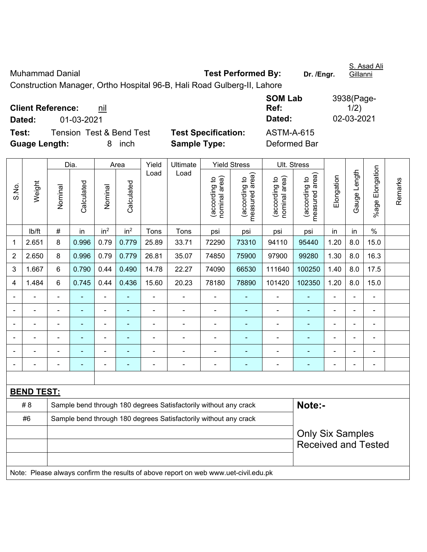| Muhammad Danial                                                         | <b>Test Performed By:</b> | Dr. /Enar. | S. Asad Ali<br>Gillanni |
|-------------------------------------------------------------------------|---------------------------|------------|-------------------------|
| Construction Manager, Ortho Hospital 96-B, Hali Road Gulberg-II, Lahore |                           |            |                         |
|                                                                         | <b>SOM Lab</b>            |            | 3938(Page-              |

**Client Reference: nil** 

**Dated:** 01-03-2021 **Dated:** 02-03-2021

**Test:** Tension Test & Bend Test **Test Specification:** ASTM-A-615 **Guage Length:** 8 inch **Sample Type:** Deformed Bar

 $1/2)$ 

**Ref:** 

|                |                   |                                                                  | Dia.           |                          | Area            | Yield | Ultimate                                                                            |                                | <b>Yield Stress</b>             |                                | Ult. Stress                     |                |                |                 |         |
|----------------|-------------------|------------------------------------------------------------------|----------------|--------------------------|-----------------|-------|-------------------------------------------------------------------------------------|--------------------------------|---------------------------------|--------------------------------|---------------------------------|----------------|----------------|-----------------|---------|
| S.No.          | Weight            | Nominal                                                          | Calculated     | Nominal                  | Calculated      | Load  | Load                                                                                | nominal area)<br>(according to | (according to<br>measured area) | nominal area)<br>(according to | measured area)<br>(according to | Elongation     | Gauge Length   | %age Elongation | Remarks |
|                | lb/ft             | $\#$                                                             | in             | in <sup>2</sup>          | in <sup>2</sup> | Tons  | Tons                                                                                | psi                            | psi                             | psi                            | psi                             | in             | in             | $\%$            |         |
| 1              | 2.651             | 8                                                                | 0.996          | 0.79                     | 0.779           | 25.89 | 33.71                                                                               | 72290                          | 73310                           | 94110                          | 95440                           | 1.20           | 8.0            | 15.0            |         |
| $\overline{2}$ | 2.650             | 8                                                                | 0.996          | 0.79                     | 0.779           | 26.81 | 35.07                                                                               | 74850                          | 75900                           | 97900                          | 99280                           | 1.30           | 8.0            | 16.3            |         |
| 3              | 1.667             | 6                                                                | 0.790          | 0.44                     | 0.490           | 14.78 | 22.27                                                                               | 74090                          | 66530                           | 111640                         | 100250                          | 1.40           | 8.0            | 17.5            |         |
| $\overline{4}$ | 1.484             | 6                                                                | 0.745          | 0.44                     | 0.436           | 15.60 | 20.23                                                                               | 78180                          | 78890                           | 101420                         | 102350                          | 1.20           | 8.0            | 15.0            |         |
|                |                   |                                                                  |                | ä,                       |                 | L,    | ä,                                                                                  |                                |                                 | $\blacksquare$                 | L,                              | $\blacksquare$ |                | ÷               |         |
|                |                   | $\blacksquare$                                                   | $\blacksquare$ | ÷                        | ٠               | ä,    | $\blacksquare$                                                                      | $\blacksquare$                 | ٠                               | $\blacksquare$                 | ÷                               | $\blacksquare$ | $\blacksquare$ | ۰               |         |
|                |                   | $\overline{\phantom{0}}$                                         | $\blacksquare$ | $\overline{\phantom{a}}$ |                 | ä,    | ÷,                                                                                  |                                | $\overline{\phantom{0}}$        | $\blacksquare$                 | $\blacksquare$                  | $\blacksquare$ | $\blacksquare$ | ۰               |         |
|                | $\blacksquare$    | $\blacksquare$                                                   | ÷              | $\overline{\phantom{a}}$ |                 | Ē,    | $\blacksquare$                                                                      |                                | $\blacksquare$                  | $\blacksquare$                 | $\blacksquare$                  |                | $\blacksquare$ | ۰               |         |
|                |                   |                                                                  |                | ÷                        |                 |       |                                                                                     |                                |                                 |                                | $\overline{\phantom{a}}$        |                |                | ÷               |         |
|                |                   |                                                                  |                |                          |                 |       |                                                                                     |                                |                                 |                                |                                 |                |                | ÷               |         |
|                |                   |                                                                  |                |                          |                 |       |                                                                                     |                                |                                 |                                |                                 |                |                |                 |         |
|                | <b>BEND TEST:</b> |                                                                  |                |                          |                 |       |                                                                                     |                                |                                 |                                |                                 |                |                |                 |         |
|                | # 8               |                                                                  |                |                          |                 |       | Sample bend through 180 degrees Satisfactorily without any crack                    |                                |                                 |                                | Note:-                          |                |                |                 |         |
|                | #6                | Sample bend through 180 degrees Satisfactorily without any crack |                |                          |                 |       |                                                                                     |                                |                                 |                                |                                 |                |                |                 |         |
|                |                   | <b>Only Six Samples</b>                                          |                |                          |                 |       |                                                                                     |                                |                                 |                                |                                 |                |                |                 |         |
|                |                   |                                                                  |                |                          |                 |       |                                                                                     |                                |                                 |                                | <b>Received and Tested</b>      |                |                |                 |         |
|                |                   |                                                                  |                |                          |                 |       |                                                                                     |                                |                                 |                                |                                 |                |                |                 |         |
|                |                   |                                                                  |                |                          |                 |       | Note: Please always confirm the results of above report on web www.uet-civil.edu.pk |                                |                                 |                                |                                 |                |                |                 |         |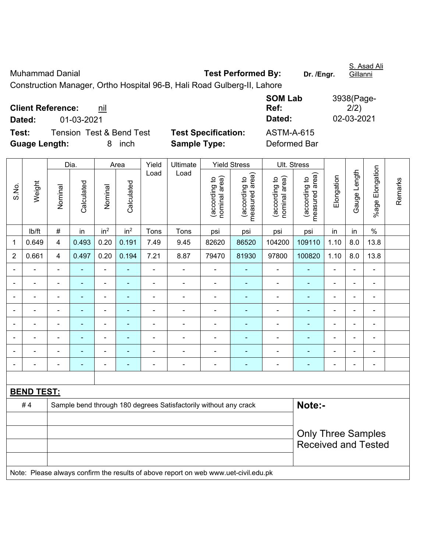| <b>Muhammad Danial</b>                                                  | <b>Test Performed By:</b> | Dr. /Engr. | S. Asad Ali<br>Gillanni |
|-------------------------------------------------------------------------|---------------------------|------------|-------------------------|
| Construction Manager, Ortho Hospital 96-B, Hali Road Gulberg-II, Lahore |                           |            |                         |
|                                                                         | <b>SOM Lab</b>            |            | 3938(Page-              |

**Client Reference: nil Dated:** 01-03-2021 **Dated:** 02-03-2021

**Test:** Tension Test & Bend Test **Test Specification:** ASTM-A-615 **Guage Length:** 8 inch **Sample Type:** Deformed Bar

 $2/2)$ 

**Ref:** 

|                |                   |                         | Dia.           |                          | Area                     | Yield          | Ultimate                                                                            |                                | <b>Yield Stress</b>             |                                | Ult. Stress                     |                              |                |                          |         |
|----------------|-------------------|-------------------------|----------------|--------------------------|--------------------------|----------------|-------------------------------------------------------------------------------------|--------------------------------|---------------------------------|--------------------------------|---------------------------------|------------------------------|----------------|--------------------------|---------|
| S.No.          | Weight            | Nominal                 | Calculated     | Nominal                  | Calculated               | Load           | Load                                                                                | nominal area)<br>(according to | (according to<br>measured area) | nominal area)<br>(according to | measured area)<br>(according to | Elongation                   | Gauge Length   | %age Elongation          | Remarks |
|                | lb/ft             | $\#$                    | in             | in <sup>2</sup>          | in <sup>2</sup>          | Tons           | Tons                                                                                | psi                            | psi                             | psi                            | psi                             | in                           | in             | $\%$                     |         |
| 1              | 0.649             | 4                       | 0.493          | 0.20                     | 0.191                    | 7.49           | 9.45                                                                                | 82620                          | 86520                           | 104200                         | 109110                          | 1.10                         | 8.0            | 13.8                     |         |
| $\overline{2}$ | 0.661             | $\overline{\mathbf{4}}$ | 0.497          | 0.20                     | 0.194                    | 7.21           | 8.87                                                                                | 79470                          | 81930                           | 97800                          | 100820                          | 1.10                         | 8.0            | 13.8                     |         |
|                |                   | $\blacksquare$          |                | ä,                       |                          |                |                                                                                     | $\blacksquare$                 |                                 | ä,                             |                                 |                              | L,             | ä,                       |         |
|                |                   |                         |                | $\blacksquare$           |                          |                | $\blacksquare$                                                                      | $\blacksquare$                 | ÷                               | $\overline{a}$                 | ۰                               | ٠                            | ÷              | $\blacksquare$           |         |
| $\blacksquare$ |                   | ۰                       | $\blacksquare$ | $\overline{\phantom{0}}$ | $\overline{\phantom{a}}$ | $\blacksquare$ | $\blacksquare$                                                                      | $\blacksquare$                 | $\overline{\phantom{0}}$        | $\overline{a}$                 | ۰                               | $\qquad \qquad \blacksquare$ | $\blacksquare$ | $\overline{\phantom{0}}$ |         |
|                |                   | $\blacksquare$          | $\blacksquare$ | $\blacksquare$           | $\overline{\phantom{a}}$ | $\blacksquare$ | $\overline{a}$                                                                      | $\blacksquare$                 | $\blacksquare$                  | $\overline{a}$                 | ä,                              | $\blacksquare$               | $\blacksquare$ | $\blacksquare$           |         |
|                | $\blacksquare$    | $\blacksquare$          | $\blacksquare$ | $\blacksquare$           | $\blacksquare$           | $\blacksquare$ | ä,                                                                                  | $\blacksquare$                 | ÷,                              | $\blacksquare$                 | ۰                               | $\blacksquare$               | $\blacksquare$ | $\blacksquare$           |         |
|                |                   | ä,                      | $\blacksquare$ | $\blacksquare$           | $\blacksquare$           | $\blacksquare$ | $\blacksquare$                                                                      | $\blacksquare$                 | $\blacksquare$                  |                                | ۰                               | ÷                            | $\blacksquare$ | $\blacksquare$           |         |
|                |                   |                         |                |                          |                          |                |                                                                                     |                                | ÷                               |                                |                                 |                              |                |                          |         |
|                |                   | $\blacksquare$          |                | $\blacksquare$           | $\overline{\phantom{a}}$ |                | $\blacksquare$                                                                      | L.                             | Ē.                              | $\blacksquare$                 | ۰                               | $\blacksquare$               | $\blacksquare$ | $\blacksquare$           |         |
|                |                   |                         |                |                          |                          |                |                                                                                     |                                |                                 |                                |                                 |                              |                |                          |         |
|                | <b>BEND TEST:</b> |                         |                |                          |                          |                |                                                                                     |                                |                                 |                                |                                 |                              |                |                          |         |
|                | #4                |                         |                |                          |                          |                | Sample bend through 180 degrees Satisfactorily without any crack                    |                                |                                 |                                | Note:-                          |                              |                |                          |         |
|                |                   |                         |                |                          |                          |                |                                                                                     |                                |                                 |                                |                                 |                              |                |                          |         |
|                |                   |                         |                |                          |                          |                |                                                                                     |                                |                                 |                                | <b>Only Three Samples</b>       |                              |                |                          |         |
|                |                   |                         |                |                          |                          |                |                                                                                     |                                |                                 |                                | <b>Received and Tested</b>      |                              |                |                          |         |
|                |                   |                         |                |                          |                          |                |                                                                                     |                                |                                 |                                |                                 |                              |                |                          |         |
|                |                   |                         |                |                          |                          |                | Note: Please always confirm the results of above report on web www.uet-civil.edu.pk |                                |                                 |                                |                                 |                              |                |                          |         |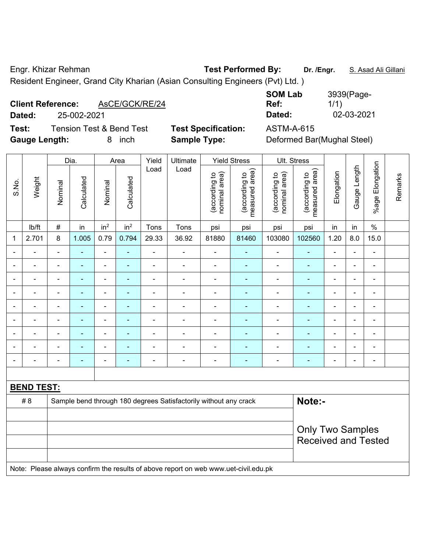Engr. Khizar Rehman **Test Performed By: Dr. /Engr.** S. Asad Ali Gillani Resident Engineer, Grand City Kharian (Asian Consulting Engineers (Pvt) Ltd. )

## **Client Reference:** AsCE/GCK/RE/24

**Test:** Tension Test & Bend Test **Test Specification:** ASTM-A-615 Gauge Length: **8** inch **Sample Type:** 

**SOM Lab Ref:**  3939(Page-1/1) **Dated:** 25-002-2021 **Dated:** 02-03-2021

| Deformed Bar(Mughal Steel) |
|----------------------------|
|                            |

|                          |                          | Dia.                                                                                |                |                 | Area            | Yield                    | Ultimate                                                         |                                | <b>Yield Stress</b>             |                                | Ult. Stress                     |                |                          |                          |         |
|--------------------------|--------------------------|-------------------------------------------------------------------------------------|----------------|-----------------|-----------------|--------------------------|------------------------------------------------------------------|--------------------------------|---------------------------------|--------------------------------|---------------------------------|----------------|--------------------------|--------------------------|---------|
| S.No.                    | Weight                   | Nominal                                                                             | Calculated     | Nominal         | Calculated      | Load                     | Load                                                             | nominal area)<br>(according to | (according to<br>measured area) | nominal area)<br>(according to | (according to<br>measured area) | Elongation     | Gauge Length             | %age Elongation          | Remarks |
|                          | lb/ft                    | $\#$                                                                                | in             | in <sup>2</sup> | in <sup>2</sup> | Tons                     | Tons                                                             | psi                            | psi                             | psi                            | psi                             | in             | in                       | $\%$                     |         |
| $\mathbf{1}$             | 2.701                    | 8                                                                                   | 1.005          | 0.79            | 0.794           | 29.33                    | 36.92                                                            | 81880                          | 81460                           | 103080                         | 102560                          | 1.20           | 8.0                      | 15.0                     |         |
|                          |                          | $\blacksquare$                                                                      | $\blacksquare$ | $\blacksquare$  | $\blacksquare$  | $\overline{a}$           | $\blacksquare$                                                   | $\blacksquare$                 | $\blacksquare$                  | $\blacksquare$                 | ٠                               | $\blacksquare$ | L,                       | $\blacksquare$           |         |
|                          |                          |                                                                                     | ٠              | $\blacksquare$  | ٠               |                          | $\blacksquare$                                                   | $\blacksquare$                 | ÷                               | $\blacksquare$                 | ۰                               |                | ä,                       | $\blacksquare$           |         |
|                          |                          | ä,                                                                                  | $\blacksquare$ | $\blacksquare$  |                 |                          | $\blacksquare$                                                   | $\blacksquare$                 | ÷                               | $\overline{a}$                 | ۰                               | $\blacksquare$ | -                        | $\blacksquare$           |         |
| $\overline{\phantom{0}}$ |                          | $\blacksquare$                                                                      | $\blacksquare$ | $\blacksquare$  | $\blacksquare$  | $\blacksquare$           | $\blacksquare$                                                   | $\blacksquare$                 | $\blacksquare$                  | $\qquad \qquad \blacksquare$   | ۰                               | $\blacksquare$ | $\blacksquare$           | $\overline{\phantom{a}}$ |         |
| $\blacksquare$           | Ē,                       | $\blacksquare$                                                                      | $\blacksquare$ | $\blacksquare$  | ٠               | $\blacksquare$           | $\blacksquare$                                                   | $\blacksquare$                 | ÷                               | $\overline{a}$                 | Ξ                               | $\blacksquare$ | $\overline{\phantom{a}}$ | $\blacksquare$           |         |
|                          | $\blacksquare$           | $\blacksquare$                                                                      | $\blacksquare$ | $\blacksquare$  | $\blacksquare$  | $\blacksquare$           | $\blacksquare$                                                   | $\blacksquare$                 | $\blacksquare$                  | $\blacksquare$                 | Ξ                               | $\blacksquare$ | L,                       | $\blacksquare$           |         |
|                          | $\overline{\phantom{0}}$ | $\blacksquare$                                                                      | $\blacksquare$ | $\blacksquare$  | ٠               | $\overline{\phantom{a}}$ | $\blacksquare$                                                   | $\blacksquare$                 | ÷                               | $\blacksquare$                 | ۳                               |                | ä,                       | $\blacksquare$           |         |
|                          |                          |                                                                                     | $\blacksquare$ | ä,              |                 |                          |                                                                  | $\blacksquare$                 | ۰                               | $\blacksquare$                 | ä,                              |                | ä,                       | Ē,                       |         |
| $\blacksquare$           |                          | $\blacksquare$                                                                      | ٠              | $\blacksquare$  | ٠               | $\blacksquare$           | $\blacksquare$                                                   | $\blacksquare$                 | ÷                               | $\blacksquare$                 | ÷                               | $\blacksquare$ | ÷,                       | $\blacksquare$           |         |
|                          |                          |                                                                                     |                |                 |                 |                          |                                                                  |                                |                                 |                                |                                 |                |                          |                          |         |
|                          | <b>BEND TEST:</b>        |                                                                                     |                |                 |                 |                          |                                                                  |                                |                                 |                                |                                 |                |                          |                          |         |
|                          | # 8                      |                                                                                     |                |                 |                 |                          | Sample bend through 180 degrees Satisfactorily without any crack |                                |                                 |                                | Note:-                          |                |                          |                          |         |
|                          |                          |                                                                                     |                |                 |                 |                          |                                                                  |                                |                                 |                                |                                 |                |                          |                          |         |
|                          |                          |                                                                                     |                |                 |                 |                          | <b>Only Two Samples</b>                                          |                                |                                 |                                |                                 |                |                          |                          |         |
|                          |                          |                                                                                     |                |                 |                 |                          |                                                                  |                                |                                 |                                | <b>Received and Tested</b>      |                |                          |                          |         |
|                          |                          | Note: Please always confirm the results of above report on web www.uet-civil.edu.pk |                |                 |                 |                          |                                                                  |                                |                                 |                                |                                 |                |                          |                          |         |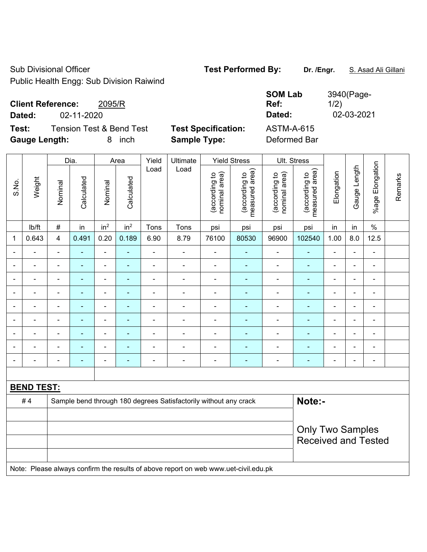Sub Divisional Officer **Test Performed By:** Dr. /Engr. **S. Asad Ali Gillani** 

Public Health Engg: Sub Division Raiwind

| <b>Client Reference:</b><br>2095/R<br>02-11-2020<br>Dated:                         |                                                   | <b>SOM Lab</b><br>Ref:<br>Dated:  | 3940(Page-<br>1/2)<br>02-03-2021 |
|------------------------------------------------------------------------------------|---------------------------------------------------|-----------------------------------|----------------------------------|
| <b>Tension Test &amp; Bend Test</b><br>Test:<br><b>Gauge Length:</b><br>inch<br>8. | <b>Test Specification:</b><br><b>Sample Type:</b> | <b>ASTM-A-615</b><br>Deformed Bar |                                  |

|                |                                                                                     |                            | Dia.           |                          | Area                     | Yield<br>Ultimate<br><b>Yield Stress</b> |                                                                  |                                |                                 | Ult. Stress                    |                                 |                |                |                          |         |
|----------------|-------------------------------------------------------------------------------------|----------------------------|----------------|--------------------------|--------------------------|------------------------------------------|------------------------------------------------------------------|--------------------------------|---------------------------------|--------------------------------|---------------------------------|----------------|----------------|--------------------------|---------|
| S.No.          | Weight                                                                              | Nominal                    | Calculated     | Nominal                  | Calculated               | Load                                     | Load                                                             | (according to<br>nominal area) | (according to<br>measured area) | nominal area)<br>(according to | measured area)<br>(according to | Elongation     | Gauge Length   | %age Elongation          | Remarks |
|                | lb/ft                                                                               | $\#$                       | in             | in <sup>2</sup>          | in <sup>2</sup>          | Tons                                     | Tons                                                             | psi                            | psi                             | psi                            | psi                             | in             | in             | $\%$                     |         |
| 1              | 0.643                                                                               | 4                          | 0.491          | 0.20                     | 0.189                    | 6.90                                     | 8.79                                                             | 76100                          | 80530                           | 96900                          | 102540                          | 1.00           | 8.0            | 12.5                     |         |
|                |                                                                                     | $\blacksquare$             | ÷              | ä,                       | $\blacksquare$           | L,                                       | ÷,                                                               |                                |                                 | Ĭ.                             | $\blacksquare$                  | $\blacksquare$ |                | ÷,                       |         |
|                |                                                                                     |                            | $\blacksquare$ | $\blacksquare$           |                          | L.                                       | ۰                                                                |                                |                                 | $\blacksquare$                 | $\blacksquare$                  |                |                | $\overline{\phantom{0}}$ |         |
|                |                                                                                     |                            |                | $\blacksquare$           |                          |                                          | ÷                                                                |                                |                                 | ÷                              |                                 | $\blacksquare$ |                | $\blacksquare$           |         |
| $\overline{a}$ |                                                                                     | $\blacksquare$             | $\blacksquare$ | $\blacksquare$           | $\overline{\phantom{a}}$ | ä,                                       | $\overline{\phantom{a}}$                                         | $\blacksquare$                 |                                 | -                              | ÷                               | $\blacksquare$ | $\blacksquare$ | $\overline{\phantom{a}}$ |         |
| $\blacksquare$ |                                                                                     | $\blacksquare$             | $\blacksquare$ | $\blacksquare$           | $\overline{\phantom{a}}$ | ä,                                       | $\blacksquare$                                                   | $\blacksquare$                 | $\blacksquare$                  | $\blacksquare$                 | $\blacksquare$                  | $\blacksquare$ | $\blacksquare$ | $\blacksquare$           |         |
| $\blacksquare$ |                                                                                     | $\overline{a}$             | $\blacksquare$ | $\blacksquare$           | $\overline{\phantom{a}}$ | $\overline{a}$                           | ÷,                                                               | $\overline{\phantom{a}}$       | $\blacksquare$                  | $\qquad \qquad \blacksquare$   | $\blacksquare$                  | $\blacksquare$ |                | ÷,                       |         |
|                | $\overline{\phantom{0}}$                                                            | $\blacksquare$             | $\blacksquare$ | $\overline{\phantom{a}}$ | $\overline{\phantom{a}}$ | L,                                       | $\overline{a}$                                                   | $\blacksquare$                 | ٠                               | ÷                              | ÷                               | $\blacksquare$ |                | $\overline{\phantom{a}}$ |         |
|                |                                                                                     |                            | $\overline{a}$ | $\blacksquare$           | $\blacksquare$           |                                          | ÷                                                                | $\blacksquare$                 | ÷.                              | ÷                              | $\overline{a}$                  |                |                | $\overline{a}$           |         |
|                |                                                                                     | ÷                          |                | $\blacksquare$           |                          | Ē,                                       | ۰                                                                |                                |                                 | ۰                              | ÷                               |                |                | ÷                        |         |
|                |                                                                                     |                            |                |                          |                          |                                          |                                                                  |                                |                                 |                                |                                 |                |                |                          |         |
|                | <b>BEND TEST:</b>                                                                   |                            |                |                          |                          |                                          |                                                                  |                                |                                 |                                |                                 |                |                |                          |         |
|                | #4                                                                                  |                            |                |                          |                          |                                          | Sample bend through 180 degrees Satisfactorily without any crack |                                |                                 |                                | Note:-                          |                |                |                          |         |
|                |                                                                                     |                            |                |                          |                          |                                          |                                                                  |                                |                                 |                                |                                 |                |                |                          |         |
|                | <b>Only Two Samples</b>                                                             |                            |                |                          |                          |                                          |                                                                  |                                |                                 |                                |                                 |                |                |                          |         |
|                |                                                                                     | <b>Received and Tested</b> |                |                          |                          |                                          |                                                                  |                                |                                 |                                |                                 |                |                |                          |         |
|                |                                                                                     |                            |                |                          |                          |                                          |                                                                  |                                |                                 |                                |                                 |                |                |                          |         |
|                | Note: Please always confirm the results of above report on web www.uet-civil.edu.pk |                            |                |                          |                          |                                          |                                                                  |                                |                                 |                                |                                 |                |                |                          |         |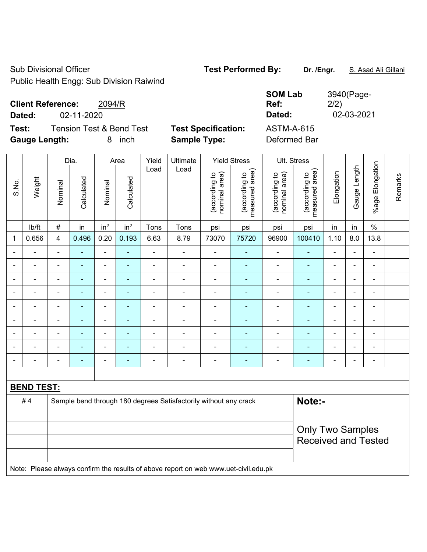Sub Divisional Officer **Test Performed By:** Dr. /Engr. **S. Asad Ali Gillani** 

Public Health Engg: Sub Division Raiwind

| <b>Client Reference:</b><br>2094/R<br>02-11-2020<br>Dated:             |                                                   | <b>SOM Lab</b><br>Ref:<br>Dated:  | 3940(Page-<br>2/2)<br>02-03-2021 |
|------------------------------------------------------------------------|---------------------------------------------------|-----------------------------------|----------------------------------|
| Test:<br>Tension Test & Bend Test<br><b>Gauge Length:</b><br>inch<br>8 | <b>Test Specification:</b><br><b>Sample Type:</b> | <b>ASTM-A-615</b><br>Deformed Bar |                                  |

|                |                   |                         | Dia.                     |                          | Area                     | Yield<br>Ultimate<br><b>Yield Stress</b> |                                                                                     |                                |                                 | Ult. Stress                    |                                 |                |                |                 |         |
|----------------|-------------------|-------------------------|--------------------------|--------------------------|--------------------------|------------------------------------------|-------------------------------------------------------------------------------------|--------------------------------|---------------------------------|--------------------------------|---------------------------------|----------------|----------------|-----------------|---------|
| S.No.          | Weight            | Nominal                 | Calculated               | Nominal                  | Calculated               | Load                                     | Load                                                                                | (according to<br>nominal area) | (according to<br>measured area) | nominal area)<br>(according to | measured area)<br>(according to | Elongation     | Gauge Length   | %age Elongation | Remarks |
|                | lb/ft             | $\#$                    | in                       | in <sup>2</sup>          | in <sup>2</sup>          | Tons                                     | Tons                                                                                | psi                            | psi                             | psi                            | psi                             | in             | in             | $\%$            |         |
| 1              | 0.656             | 4                       | 0.496                    | 0.20                     | 0.193                    | 6.63                                     | 8.79                                                                                | 73070                          | 75720                           | 96900                          | 100410                          | 1.10           | 8.0            | 13.8            |         |
|                |                   | ÷                       | ÷                        | ä,                       | $\blacksquare$           | $\overline{a}$                           | ä,                                                                                  | ä,                             | $\blacksquare$                  | ä,                             | ä,                              | $\blacksquare$ |                | ä,              |         |
|                |                   |                         | $\blacksquare$           | $\blacksquare$           |                          | $\blacksquare$                           | $\overline{\phantom{0}}$                                                            | $\blacksquare$                 |                                 | ۰                              | ٠                               | $\blacksquare$ |                | $\blacksquare$  |         |
| $\blacksquare$ |                   | $\blacksquare$          | $\overline{a}$           | $\blacksquare$           | ÷                        | $\blacksquare$                           | ÷.                                                                                  | $\blacksquare$                 | ٠                               | $\blacksquare$                 | L.                              | $\blacksquare$ |                | $\overline{a}$  |         |
| $\overline{a}$ |                   | $\blacksquare$          | $\overline{\phantom{0}}$ | $\blacksquare$           | $\overline{\phantom{a}}$ | L,                                       | $\frac{1}{2}$                                                                       | $\blacksquare$                 |                                 | Ĭ.                             | $\blacksquare$                  | $\blacksquare$ | ۰              | $\blacksquare$  |         |
| $\blacksquare$ |                   | $\blacksquare$          | ÷,                       | ä,                       | $\blacksquare$           | ÷                                        | ÷.                                                                                  | $\blacksquare$                 | $\blacksquare$                  | ä,                             | $\blacksquare$                  | $\blacksquare$ | $\blacksquare$ | $\blacksquare$  |         |
| $\blacksquare$ |                   | $\blacksquare$          | $\blacksquare$           | $\blacksquare$           | $\overline{\phantom{a}}$ | $\overline{a}$                           | ÷,                                                                                  | $\blacksquare$                 | $\blacksquare$                  | Ĭ.                             | $\blacksquare$                  | $\blacksquare$ | $\blacksquare$ | ÷,              |         |
|                | ÷                 | $\blacksquare$          | $\blacksquare$           | $\overline{\phantom{a}}$ | $\overline{\phantom{a}}$ | L,                                       | $\overline{a}$                                                                      | $\blacksquare$                 | ٠                               | ÷                              | $\blacksquare$                  | $\blacksquare$ |                | $\blacksquare$  |         |
|                |                   |                         | L,                       | $\blacksquare$           | $\overline{\phantom{a}}$ |                                          | ÷.                                                                                  | ä,                             | ä,                              | ä,                             | L,                              |                |                | ä,              |         |
|                |                   |                         |                          | ä,                       |                          | Ē,                                       | $\overline{a}$                                                                      |                                |                                 |                                |                                 |                |                | $\blacksquare$  |         |
|                |                   |                         |                          |                          |                          |                                          |                                                                                     |                                |                                 |                                |                                 |                |                |                 |         |
|                | <b>BEND TEST:</b> |                         |                          |                          |                          |                                          |                                                                                     |                                |                                 |                                |                                 |                |                |                 |         |
|                | #4                |                         |                          |                          |                          |                                          | Sample bend through 180 degrees Satisfactorily without any crack                    |                                |                                 |                                | Note:-                          |                |                |                 |         |
|                |                   |                         |                          |                          |                          |                                          |                                                                                     |                                |                                 |                                |                                 |                |                |                 |         |
|                |                   | <b>Only Two Samples</b> |                          |                          |                          |                                          |                                                                                     |                                |                                 |                                |                                 |                |                |                 |         |
|                |                   |                         |                          |                          |                          |                                          |                                                                                     |                                | <b>Received and Tested</b>      |                                |                                 |                |                |                 |         |
|                |                   |                         |                          |                          |                          |                                          |                                                                                     |                                |                                 |                                |                                 |                |                |                 |         |
|                |                   |                         |                          |                          |                          |                                          | Note: Please always confirm the results of above report on web www.uet-civil.edu.pk |                                |                                 |                                |                                 |                |                |                 |         |